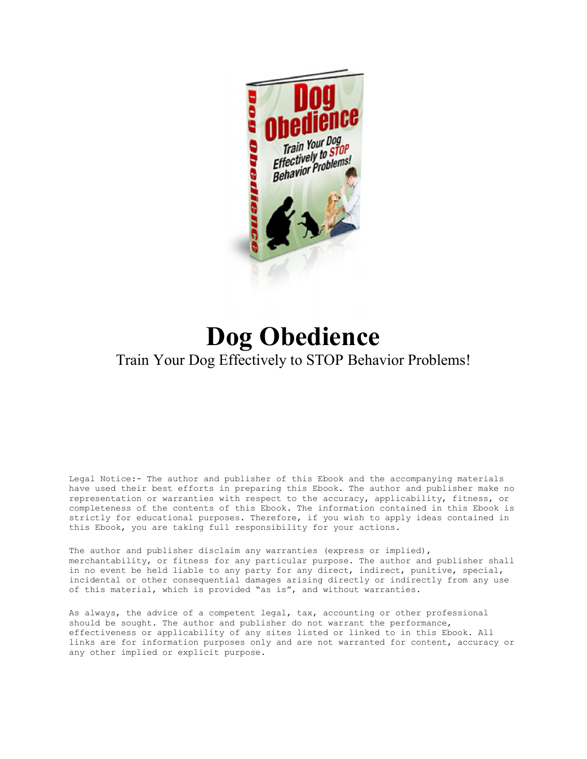

# **Dog Obedience** Train Your Dog Effectively to STOP Behavior Problems!

Legal Notice:- The author and publisher of this Ebook and the accompanying materials have used their best efforts in preparing this Ebook. The author and publisher make no representation or warranties with respect to the accuracy, applicability, fitness, or completeness of the contents of this Ebook. The information contained in this Ebook is strictly for educational purposes. Therefore, if you wish to apply ideas contained in this Ebook, you are taking full responsibility for your actions.

The author and publisher disclaim any warranties (express or implied), merchantability, or fitness for any particular purpose. The author and publisher shall in no event be held liable to any party for any direct, indirect, punitive, special, incidental or other consequential damages arising directly or indirectly from any use of this material, which is provided "as is", and without warranties.

As always, the advice of a competent legal, tax, accounting or other professional should be sought. The author and publisher do not warrant the performance, effectiveness or applicability of any sites listed or linked to in this Ebook. All links are for information purposes only and are not warranted for content, accuracy or any other implied or explicit purpose.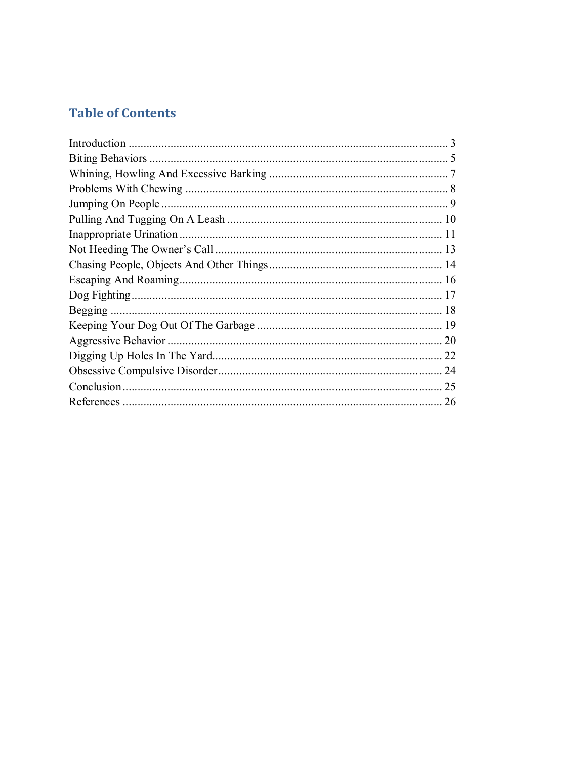# **Table of Contents**

| 9  |
|----|
|    |
|    |
|    |
|    |
|    |
|    |
| 18 |
|    |
| 20 |
| 22 |
| 24 |
| 25 |
|    |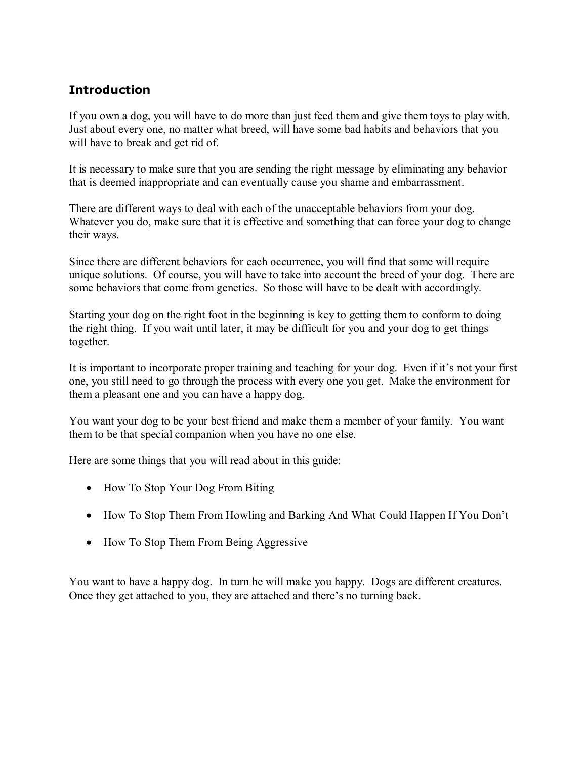#### **Introduction**

If you own a dog, you will have to do more than just feed them and give them toys to play with. Just about every one, no matter what breed, will have some bad habits and behaviors that you will have to break and get rid of.

It is necessary to make sure that you are sending the right message by eliminating any behavior that is deemed inappropriate and can eventually cause you shame and embarrassment.

There are different ways to deal with each of the unacceptable behaviors from your dog. Whatever you do, make sure that it is effective and something that can force your dog to change their ways.

Since there are different behaviors for each occurrence, you will find that some will require unique solutions. Of course, you will have to take into account the breed of your dog. There are some behaviors that come from genetics. So those will have to be dealt with accordingly.

Starting your dog on the right foot in the beginning is key to getting them to conform to doing the right thing. If you wait until later, it may be difficult for you and your dog to get things together.

It is important to incorporate proper training and teaching for your dog. Even if it's not your first one, you still need to go through the process with every one you get. Make the environment for them a pleasant one and you can have a happy dog.

You want your dog to be your best friend and make them a member of your family. You want them to be that special companion when you have no one else.

Here are some things that you will read about in this guide:

- How To Stop Your Dog From Biting
- How To Stop Them From Howling and Barking And What Could Happen If You Don't
- How To Stop Them From Being Aggressive

You want to have a happy dog. In turn he will make you happy. Dogs are different creatures. Once they get attached to you, they are attached and there's no turning back.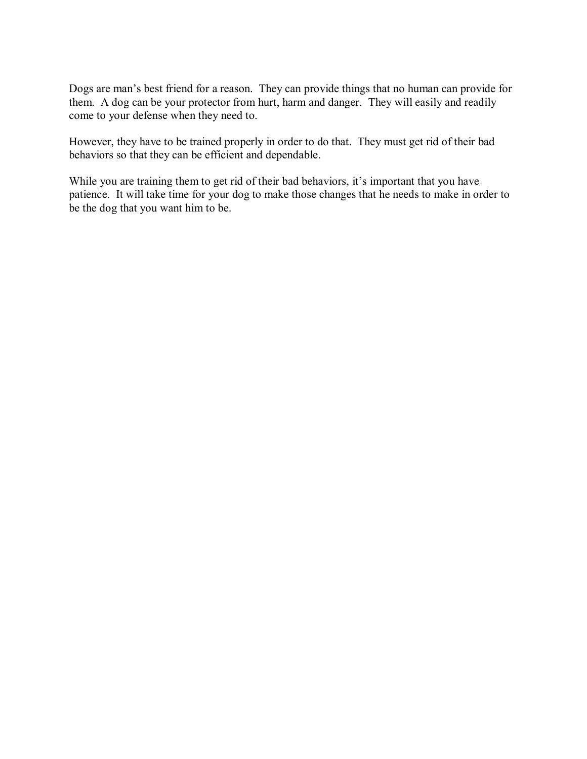Dogs are man's best friend for a reason. They can provide things that no human can provide for them. A dog can be your protector from hurt, harm and danger. They will easily and readily come to your defense when they need to.

However, they have to be trained properly in order to do that. They must get rid of their bad behaviors so that they can be efficient and dependable.

While you are training them to get rid of their bad behaviors, it's important that you have patience. It will take time for your dog to make those changes that he needs to make in order to be the dog that you want him to be.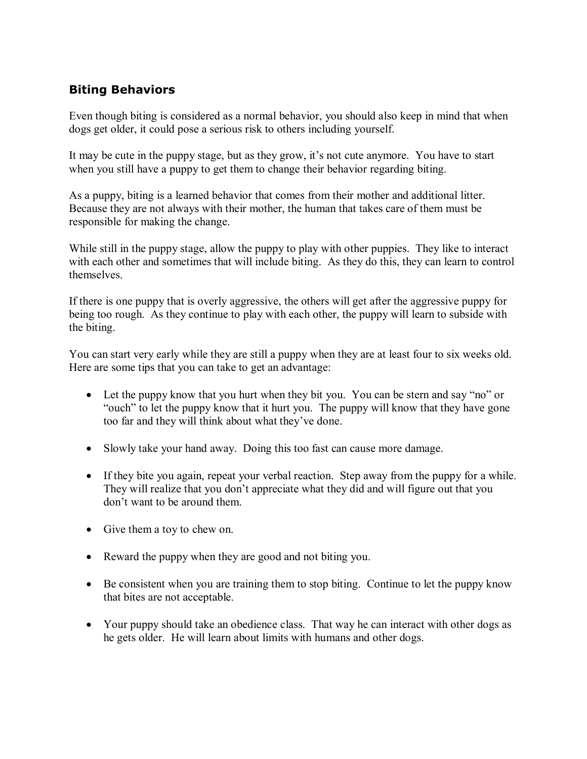#### **Biting Behaviors**

Even though biting is considered as a normal behavior, you should also keep in mind that when dogs get older, it could pose a serious risk to others including yourself.

It may be cute in the puppy stage, but as they grow, it's not cute anymore. You have to start when you still have a puppy to get them to change their behavior regarding biting.

As a puppy, biting is a learned behavior that comes from their mother and additional litter. Because they are not always with their mother, the human that takes care of them must be responsible for making the change.

While still in the puppy stage, allow the puppy to play with other puppies. They like to interact with each other and sometimes that will include biting. As they do this, they can learn to control themselves.

If there is one puppy that is overly aggressive, the others will get after the aggressive puppy for being too rough. As they continue to play with each other, the puppy will learn to subside with the biting.

You can start very early while they are still a puppy when they are at least four to six weeks old. Here are some tips that you can take to get an advantage:

- Let the puppy know that you hurt when they bit you. You can be stern and say "no" or "ouch" to let the puppy know that it hurt you. The puppy will know that they have gone too far and they will think about what they've done.
- Slowly take your hand away. Doing this too fast can cause more damage.
- If they bite you again, repeat your verbal reaction. Step away from the puppy for a while. They will realize that you don't appreciate what they did and will figure out that you don't want to be around them.
- Give them a toy to chew on.
- Reward the puppy when they are good and not biting you.
- Be consistent when you are training them to stop biting. Continue to let the puppy know that bites are not acceptable.
- Your puppy should take an obedience class. That way he can interact with other dogs as he gets older. He will learn about limits with humans and other dogs.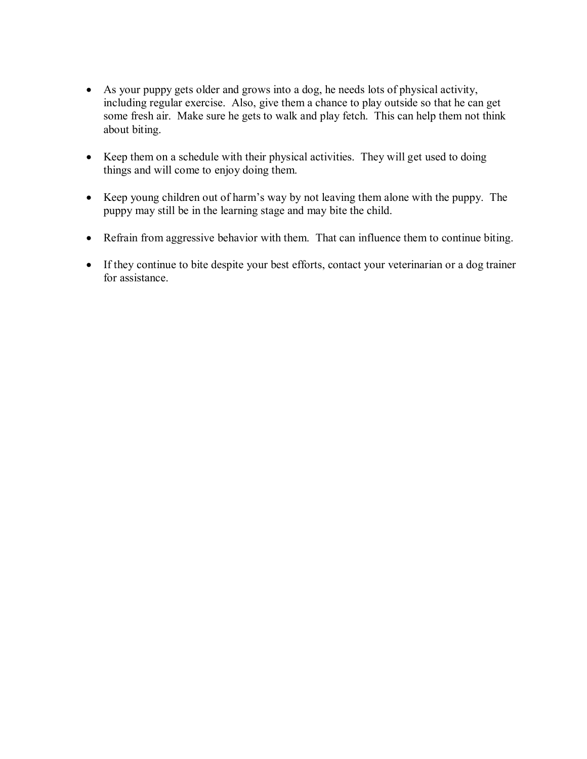- As your puppy gets older and grows into a dog, he needs lots of physical activity, including regular exercise. Also, give them a chance to play outside so that he can get some fresh air. Make sure he gets to walk and play fetch. This can help them not think about biting.
- Keep them on a schedule with their physical activities. They will get used to doing things and will come to enjoy doing them.
- Keep young children out of harm's way by not leaving them alone with the puppy. The puppy may still be in the learning stage and may bite the child.
- Refrain from aggressive behavior with them. That can influence them to continue biting.
- If they continue to bite despite your best efforts, contact your veterinarian or a dog trainer for assistance.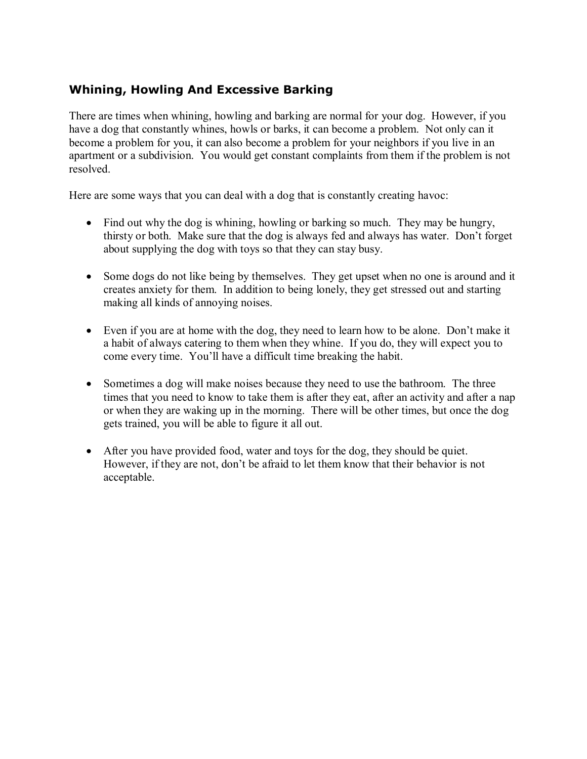#### **Whining, Howling And Excessive Barking**

There are times when whining, howling and barking are normal for your dog. However, if you have a dog that constantly whines, howls or barks, it can become a problem. Not only can it become a problem for you, it can also become a problem for your neighbors if you live in an apartment or a subdivision. You would get constant complaints from them if the problem is not resolved.

Here are some ways that you can deal with a dog that is constantly creating havoc:

- Find out why the dog is whining, howling or barking so much. They may be hungry, thirsty or both. Make sure that the dog is always fed and always has water. Don't forget about supplying the dog with toys so that they can stay busy.
- Some dogs do not like being by themselves. They get upset when no one is around and it creates anxiety for them. In addition to being lonely, they get stressed out and starting making all kinds of annoying noises.
- Even if you are at home with the dog, they need to learn how to be alone. Don't make it a habit of always catering to them when they whine. If you do, they will expect you to come every time. You'll have a difficult time breaking the habit.
- Sometimes a dog will make noises because they need to use the bathroom. The three times that you need to know to take them is after they eat, after an activity and after a nap or when they are waking up in the morning. There will be other times, but once the dog gets trained, you will be able to figure it all out.
- After you have provided food, water and toys for the dog, they should be quiet. However, if they are not, don't be afraid to let them know that their behavior is not acceptable.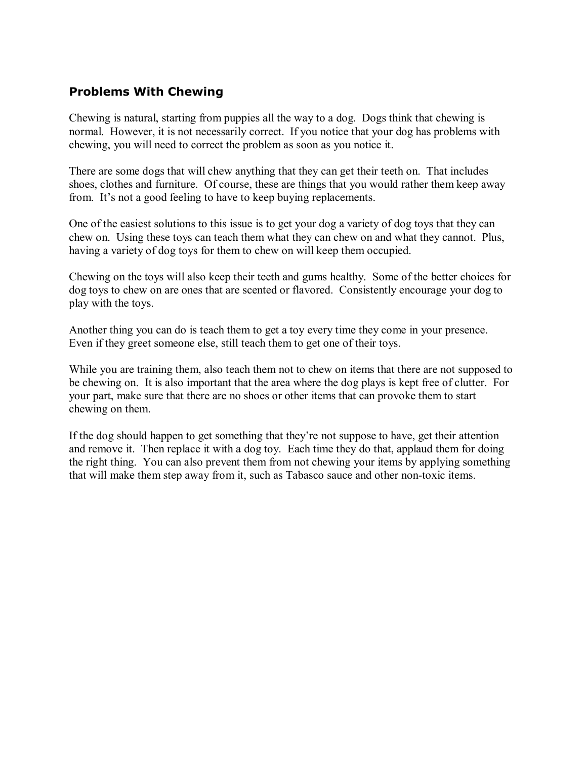#### **Problems With Chewing**

Chewing is natural, starting from puppies all the way to a dog. Dogs think that chewing is normal. However, it is not necessarily correct. If you notice that your dog has problems with chewing, you will need to correct the problem as soon as you notice it.

There are some dogs that will chew anything that they can get their teeth on. That includes shoes, clothes and furniture. Of course, these are things that you would rather them keep away from. It's not a good feeling to have to keep buying replacements.

One of the easiest solutions to this issue is to get your dog a variety of dog toys that they can chew on. Using these toys can teach them what they can chew on and what they cannot. Plus, having a variety of dog toys for them to chew on will keep them occupied.

Chewing on the toys will also keep their teeth and gums healthy. Some of the better choices for dog toys to chew on are ones that are scented or flavored. Consistently encourage your dog to play with the toys.

Another thing you can do is teach them to get a toy every time they come in your presence. Even if they greet someone else, still teach them to get one of their toys.

While you are training them, also teach them not to chew on items that there are not supposed to be chewing on. It is also important that the area where the dog plays is kept free of clutter. For your part, make sure that there are no shoes or other items that can provoke them to start chewing on them.

If the dog should happen to get something that they're not suppose to have, get their attention and remove it. Then replace it with a dog toy. Each time they do that, applaud them for doing the right thing. You can also prevent them from not chewing your items by applying something that will make them step away from it, such as Tabasco sauce and other non-toxic items.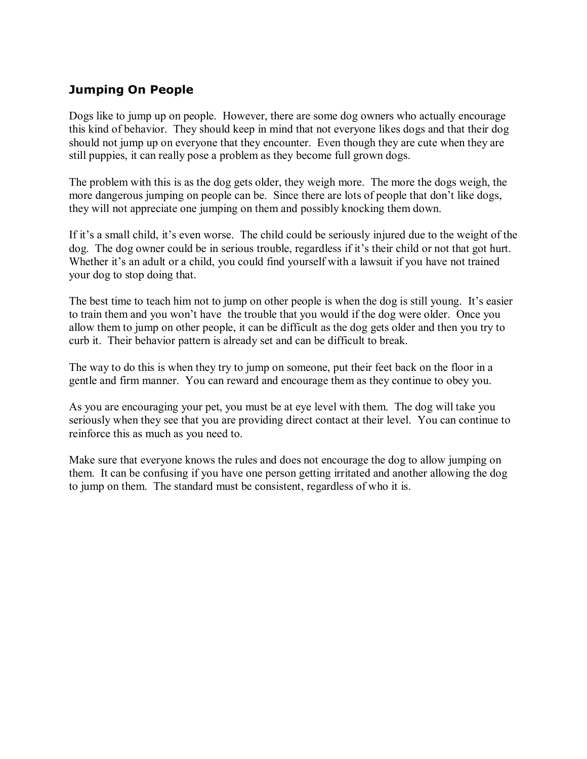#### **Jumping On People**

Dogs like to jump up on people. However, there are some dog owners who actually encourage this kind of behavior. They should keep in mind that not everyone likes dogs and that their dog should not jump up on everyone that they encounter. Even though they are cute when they are still puppies, it can really pose a problem as they become full grown dogs.

The problem with this is as the dog gets older, they weigh more. The more the dogs weigh, the more dangerous jumping on people can be. Since there are lots of people that don't like dogs, they will not appreciate one jumping on them and possibly knocking them down.

If it's a small child, it's even worse. The child could be seriously injured due to the weight of the dog. The dog owner could be in serious trouble, regardless if it's their child or not that got hurt. Whether it's an adult or a child, you could find yourself with a lawsuit if you have not trained your dog to stop doing that.

The best time to teach him not to jump on other people is when the dog is still young. It's easier to train them and you won't have the trouble that you would if the dog were older. Once you allow them to jump on other people, it can be difficult as the dog gets older and then you try to curb it. Their behavior pattern is already set and can be difficult to break.

The way to do this is when they try to jump on someone, put their feet back on the floor in a gentle and firm manner. You can reward and encourage them as they continue to obey you.

As you are encouraging your pet, you must be at eye level with them. The dog will take you seriously when they see that you are providing direct contact at their level. You can continue to reinforce this as much as you need to.

Make sure that everyone knows the rules and does not encourage the dog to allow jumping on them. It can be confusing if you have one person getting irritated and another allowing the dog to jump on them. The standard must be consistent, regardless of who it is.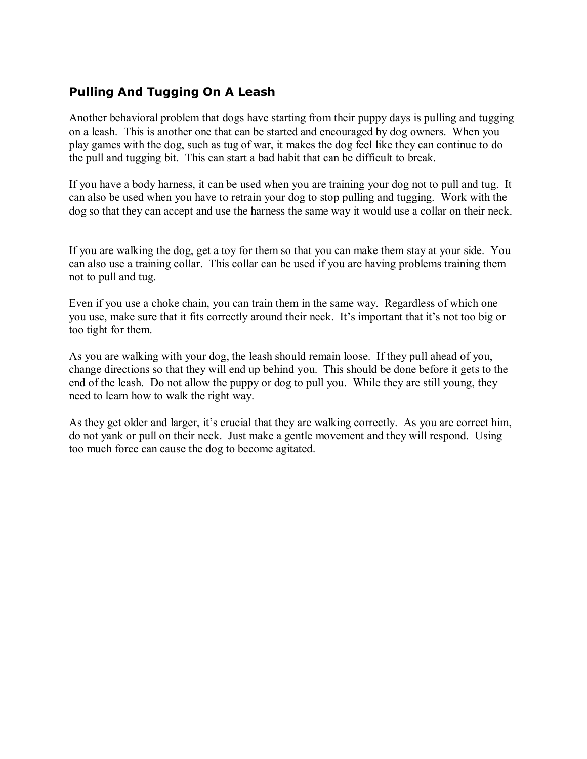#### **Pulling And Tugging On A Leash**

Another behavioral problem that dogs have starting from their puppy days is pulling and tugging on a leash. This is another one that can be started and encouraged by dog owners. When you play games with the dog, such as tug of war, it makes the dog feel like they can continue to do the pull and tugging bit. This can start a bad habit that can be difficult to break.

If you have a body harness, it can be used when you are training your dog not to pull and tug. It can also be used when you have to retrain your dog to stop pulling and tugging. Work with the dog so that they can accept and use the harness the same way it would use a collar on their neck.

If you are walking the dog, get a toy for them so that you can make them stay at your side. You can also use a training collar. This collar can be used if you are having problems training them not to pull and tug.

Even if you use a choke chain, you can train them in the same way. Regardless of which one you use, make sure that it fits correctly around their neck. It's important that it's not too big or too tight for them.

As you are walking with your dog, the leash should remain loose. If they pull ahead of you, change directions so that they will end up behind you. This should be done before it gets to the end of the leash. Do not allow the puppy or dog to pull you. While they are still young, they need to learn how to walk the right way.

As they get older and larger, it's crucial that they are walking correctly. As you are correct him, do not yank or pull on their neck. Just make a gentle movement and they will respond. Using too much force can cause the dog to become agitated.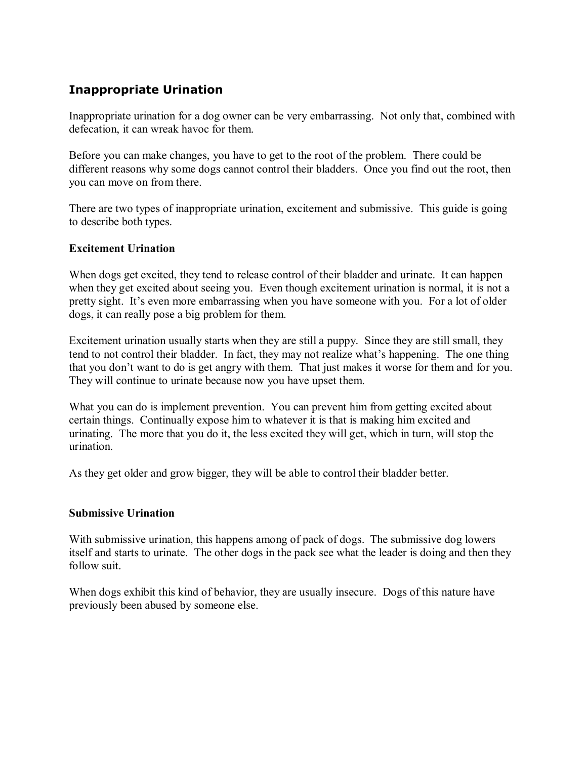#### **Inappropriate Urination**

Inappropriate urination for a dog owner can be very embarrassing. Not only that, combined with defecation, it can wreak havoc for them.

Before you can make changes, you have to get to the root of the problem. There could be different reasons why some dogs cannot control their bladders. Once you find out the root, then you can move on from there.

There are two types of inappropriate urination, excitement and submissive. This guide is going to describe both types.

#### **Excitement Urination**

When dogs get excited, they tend to release control of their bladder and urinate. It can happen when they get excited about seeing you. Even though excitement urination is normal, it is not a pretty sight. It's even more embarrassing when you have someone with you. For a lot of older dogs, it can really pose a big problem for them.

Excitement urination usually starts when they are still a puppy. Since they are still small, they tend to not control their bladder. In fact, they may not realize what's happening. The one thing that you don't want to do is get angry with them. That just makes it worse for them and for you. They will continue to urinate because now you have upset them.

What you can do is implement prevention. You can prevent him from getting excited about certain things. Continually expose him to whatever it is that is making him excited and urinating. The more that you do it, the less excited they will get, which in turn, will stop the urination.

As they get older and grow bigger, they will be able to control their bladder better.

#### **Submissive Urination**

With submissive urination, this happens among of pack of dogs. The submissive dog lowers itself and starts to urinate. The other dogs in the pack see what the leader is doing and then they follow suit.

When dogs exhibit this kind of behavior, they are usually insecure. Dogs of this nature have previously been abused by someone else.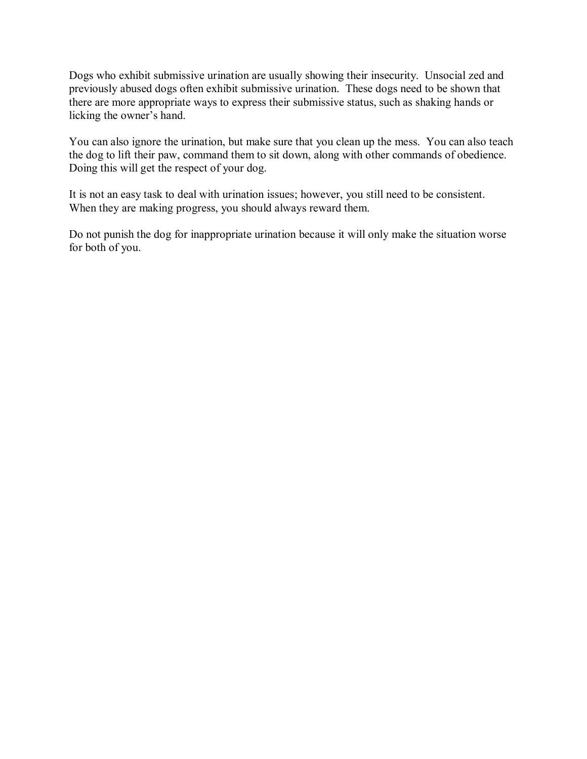Dogs who exhibit submissive urination are usually showing their insecurity. Unsocial zed and previously abused dogs often exhibit submissive urination. These dogs need to be shown that there are more appropriate ways to express their submissive status, such as shaking hands or licking the owner's hand.

You can also ignore the urination, but make sure that you clean up the mess. You can also teach the dog to lift their paw, command them to sit down, along with other commands of obedience. Doing this will get the respect of your dog.

It is not an easy task to deal with urination issues; however, you still need to be consistent. When they are making progress, you should always reward them.

Do not punish the dog for inappropriate urination because it will only make the situation worse for both of you.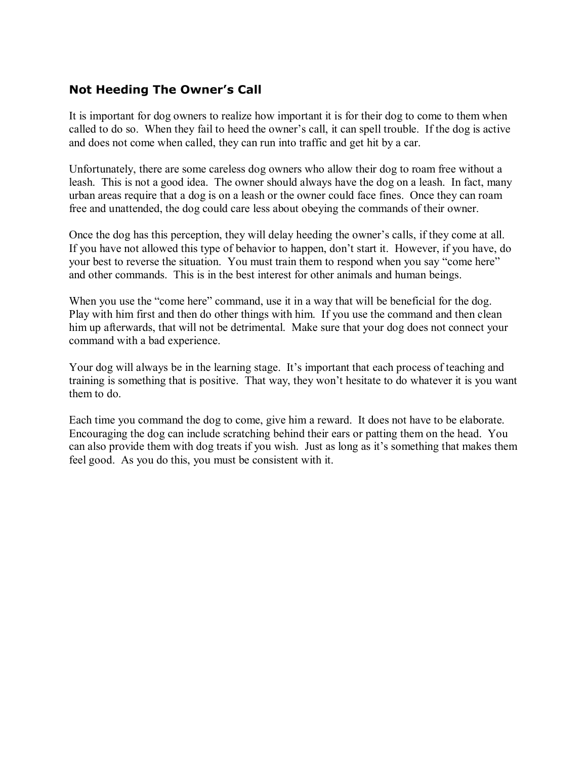#### **Not Heeding The Owner's Call**

It is important for dog owners to realize how important it is for their dog to come to them when called to do so. When they fail to heed the owner's call, it can spell trouble. If the dog is active and does not come when called, they can run into traffic and get hit by a car.

Unfortunately, there are some careless dog owners who allow their dog to roam free without a leash. This is not a good idea. The owner should always have the dog on a leash. In fact, many urban areas require that a dog is on a leash or the owner could face fines. Once they can roam free and unattended, the dog could care less about obeying the commands of their owner.

Once the dog has this perception, they will delay heeding the owner's calls, if they come at all. If you have not allowed this type of behavior to happen, don't start it. However, if you have, do your best to reverse the situation. You must train them to respond when you say "come here" and other commands. This is in the best interest for other animals and human beings.

When you use the "come here" command, use it in a way that will be beneficial for the dog. Play with him first and then do other things with him. If you use the command and then clean him up afterwards, that will not be detrimental. Make sure that your dog does not connect your command with a bad experience.

Your dog will always be in the learning stage. It's important that each process of teaching and training is something that is positive. That way, they won't hesitate to do whatever it is you want them to do.

Each time you command the dog to come, give him a reward. It does not have to be elaborate. Encouraging the dog can include scratching behind their ears or patting them on the head. You can also provide them with dog treats if you wish. Just as long as it's something that makes them feel good. As you do this, you must be consistent with it.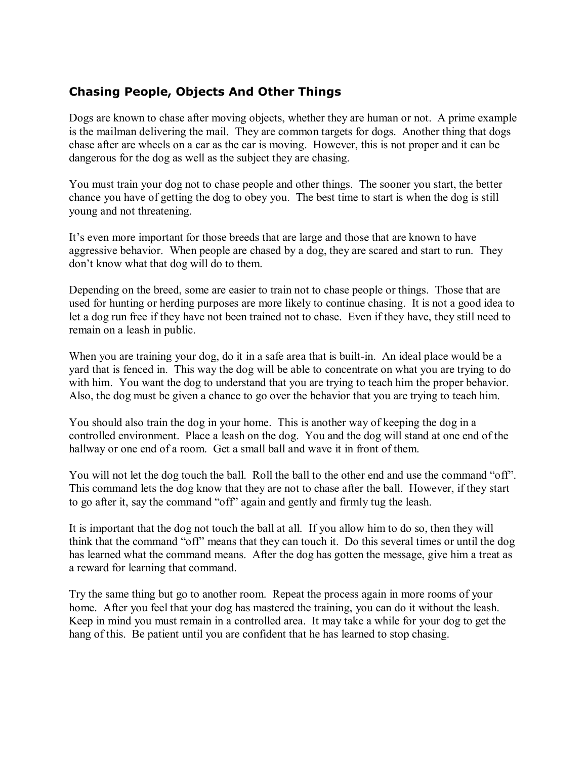#### **Chasing People, Objects And Other Things**

Dogs are known to chase after moving objects, whether they are human or not. A prime example is the mailman delivering the mail. They are common targets for dogs. Another thing that dogs chase after are wheels on a car as the car is moving. However, this is not proper and it can be dangerous for the dog as well as the subject they are chasing.

You must train your dog not to chase people and other things. The sooner you start, the better chance you have of getting the dog to obey you. The best time to start is when the dog is still young and not threatening.

It's even more important for those breeds that are large and those that are known to have aggressive behavior. When people are chased by a dog, they are scared and start to run. They don't know what that dog will do to them.

Depending on the breed, some are easier to train not to chase people or things. Those that are used for hunting or herding purposes are more likely to continue chasing. It is not a good idea to let a dog run free if they have not been trained not to chase. Even if they have, they still need to remain on a leash in public.

When you are training your dog, do it in a safe area that is built-in. An ideal place would be a yard that is fenced in. This way the dog will be able to concentrate on what you are trying to do with him. You want the dog to understand that you are trying to teach him the proper behavior. Also, the dog must be given a chance to go over the behavior that you are trying to teach him.

You should also train the dog in your home. This is another way of keeping the dog in a controlled environment. Place a leash on the dog. You and the dog will stand at one end of the hallway or one end of a room. Get a small ball and wave it in front of them.

You will not let the dog touch the ball. Roll the ball to the other end and use the command "off". This command lets the dog know that they are not to chase after the ball. However, if they start to go after it, say the command "off" again and gently and firmly tug the leash.

It is important that the dog not touch the ball at all. If you allow him to do so, then they will think that the command "off" means that they can touch it. Do this several times or until the dog has learned what the command means. After the dog has gotten the message, give him a treat as a reward for learning that command.

Try the same thing but go to another room. Repeat the process again in more rooms of your home. After you feel that your dog has mastered the training, you can do it without the leash. Keep in mind you must remain in a controlled area. It may take a while for your dog to get the hang of this. Be patient until you are confident that he has learned to stop chasing.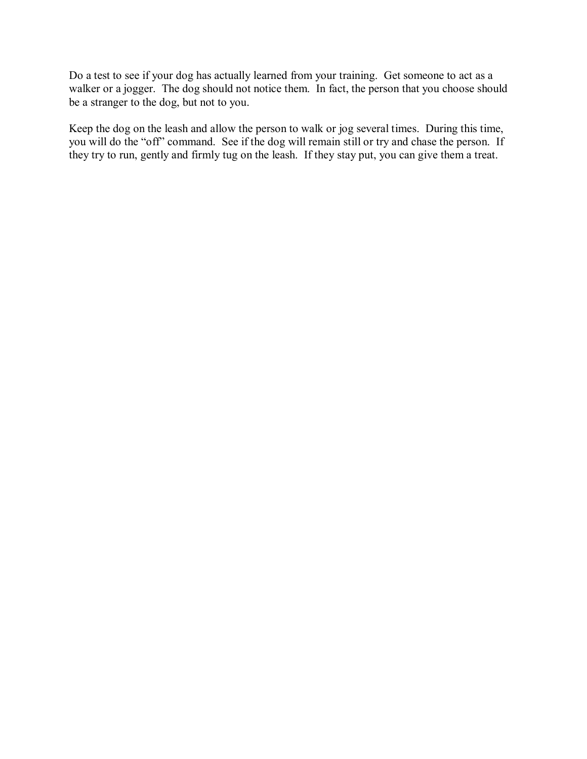Do a test to see if your dog has actually learned from your training. Get someone to act as a walker or a jogger. The dog should not notice them. In fact, the person that you choose should be a stranger to the dog, but not to you.

Keep the dog on the leash and allow the person to walk or jog several times. During this time, you will do the "off" command. See if the dog will remain still or try and chase the person. If they try to run, gently and firmly tug on the leash. If they stay put, you can give them a treat.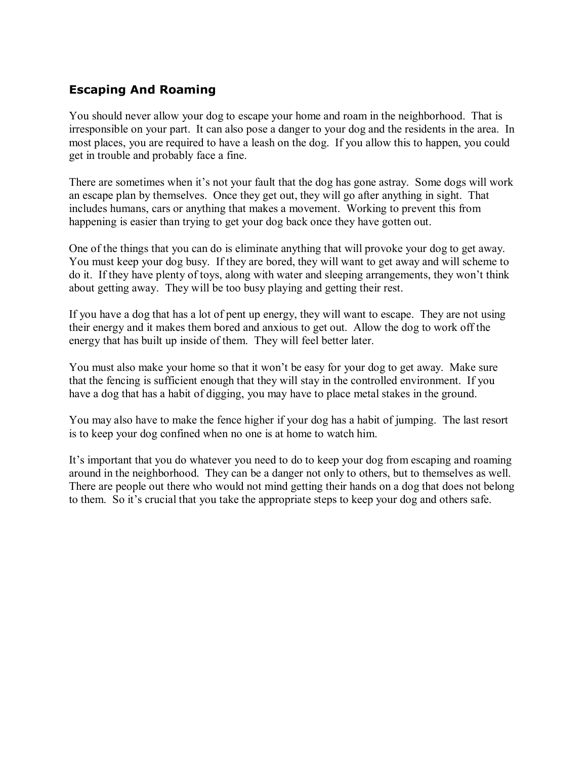#### **Escaping And Roaming**

You should never allow your dog to escape your home and roam in the neighborhood. That is irresponsible on your part. It can also pose a danger to your dog and the residents in the area. In most places, you are required to have a leash on the dog. If you allow this to happen, you could get in trouble and probably face a fine.

There are sometimes when it's not your fault that the dog has gone astray. Some dogs will work an escape plan by themselves. Once they get out, they will go after anything in sight. That includes humans, cars or anything that makes a movement. Working to prevent this from happening is easier than trying to get your dog back once they have gotten out.

One of the things that you can do is eliminate anything that will provoke your dog to get away. You must keep your dog busy. If they are bored, they will want to get away and will scheme to do it. If they have plenty of toys, along with water and sleeping arrangements, they won't think about getting away. They will be too busy playing and getting their rest.

If you have a dog that has a lot of pent up energy, they will want to escape. They are not using their energy and it makes them bored and anxious to get out. Allow the dog to work off the energy that has built up inside of them. They will feel better later.

You must also make your home so that it won't be easy for your dog to get away. Make sure that the fencing is sufficient enough that they will stay in the controlled environment. If you have a dog that has a habit of digging, you may have to place metal stakes in the ground.

You may also have to make the fence higher if your dog has a habit of jumping. The last resort is to keep your dog confined when no one is at home to watch him.

It's important that you do whatever you need to do to keep your dog from escaping and roaming around in the neighborhood. They can be a danger not only to others, but to themselves as well. There are people out there who would not mind getting their hands on a dog that does not belong to them. So it's crucial that you take the appropriate steps to keep your dog and others safe.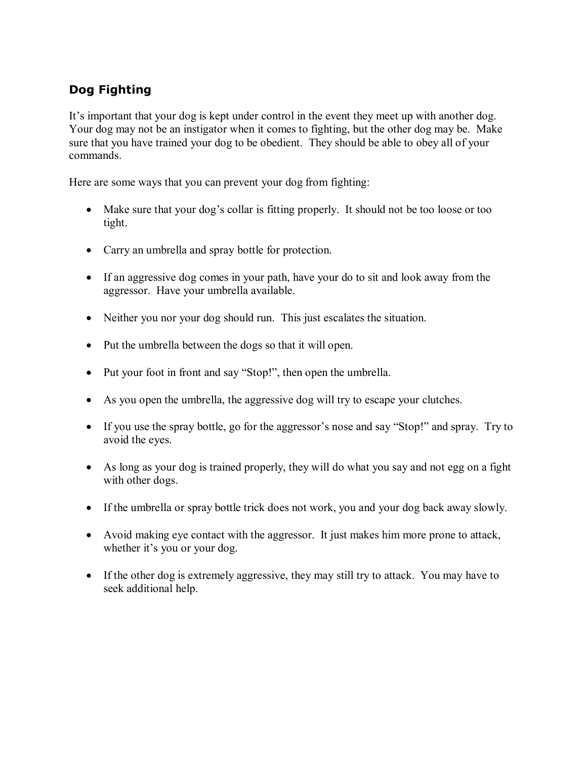## **Dog Fighting**

It's important that your dog is kept under control in the event they meet up with another dog. Your dog may not be an instigator when it comes to fighting, but the other dog may be. Make sure that you have trained your dog to be obedient. They should be able to obey all of your commands.

Here are some ways that you can prevent your dog from fighting:

- Make sure that your dog's collar is fitting properly. It should not be too loose or too tight.
- Carry an umbrella and spray bottle for protection.
- If an aggressive dog comes in your path, have your do to sit and look away from the aggressor. Have your umbrella available.
- Neither you nor your dog should run. This just escalates the situation.
- Put the umbrella between the dogs so that it will open.
- Put your foot in front and say "Stop!", then open the umbrella.
- As you open the umbrella, the aggressive dog will try to escape your clutches.
- If you use the spray bottle, go for the aggressor's nose and say "Stop!" and spray. Try to avoid the eyes.
- As long as your dog is trained properly, they will do what you say and not egg on a fight with other dogs.
- If the umbrella or spray bottle trick does not work, you and your dog back away slowly.
- Avoid making eye contact with the aggressor. It just makes him more prone to attack, whether it's you or your dog.
- If the other dog is extremely aggressive, they may still try to attack. You may have to seek additional help.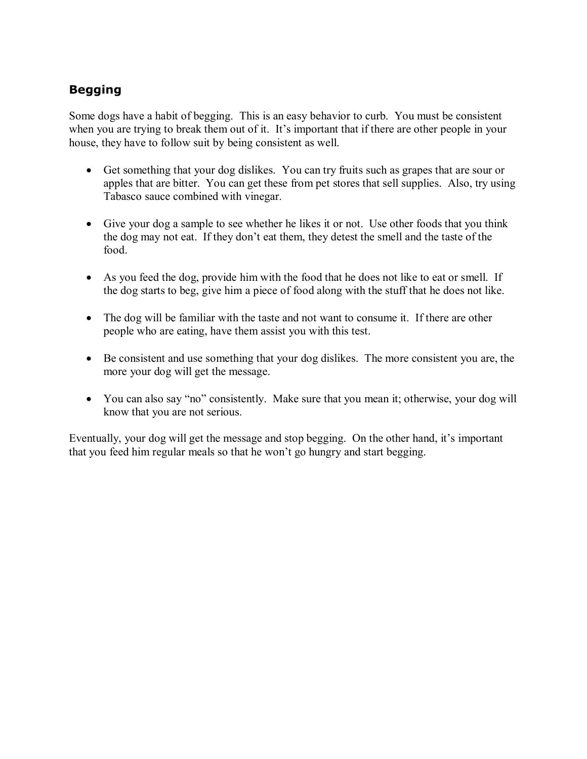## **Begging**

Some dogs have a habit of begging. This is an easy behavior to curb. You must be consistent when you are trying to break them out of it. It's important that if there are other people in your house, they have to follow suit by being consistent as well.

- Get something that your dog dislikes. You can try fruits such as grapes that are sour or apples that are bitter. You can get these from pet stores that sell supplies. Also, try using Tabasco sauce combined with vinegar.
- Give your dog a sample to see whether he likes it or not. Use other foods that you think the dog may not eat. If they don't eat them, they detest the smell and the taste of the food.
- As you feed the dog, provide him with the food that he does not like to eat or smell. If the dog starts to beg, give him a piece of food along with the stuff that he does not like.
- The dog will be familiar with the taste and not want to consume it. If there are other people who are eating, have them assist you with this test.
- Be consistent and use something that your dog dislikes. The more consistent you are, the more your dog will get the message.
- You can also say "no" consistently. Make sure that you mean it; otherwise, your dog will know that you are not serious.

Eventually, your dog will get the message and stop begging. On the other hand, it's important that you feed him regular meals so that he won't go hungry and start begging.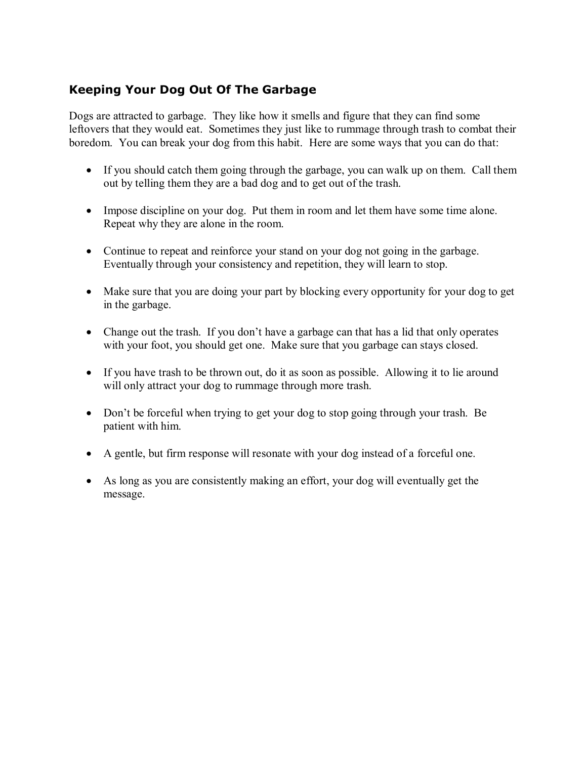### **Keeping Your Dog Out Of The Garbage**

Dogs are attracted to garbage. They like how it smells and figure that they can find some leftovers that they would eat. Sometimes they just like to rummage through trash to combat their boredom. You can break your dog from this habit. Here are some ways that you can do that:

- If you should catch them going through the garbage, you can walk up on them. Call them out by telling them they are a bad dog and to get out of the trash.
- Impose discipline on your dog. Put them in room and let them have some time alone. Repeat why they are alone in the room.
- Continue to repeat and reinforce your stand on your dog not going in the garbage. Eventually through your consistency and repetition, they will learn to stop.
- Make sure that you are doing your part by blocking every opportunity for your dog to get in the garbage.
- Change out the trash. If you don't have a garbage can that has a lid that only operates with your foot, you should get one. Make sure that you garbage can stays closed.
- If you have trash to be thrown out, do it as soon as possible. Allowing it to lie around will only attract your dog to rummage through more trash.
- Don't be forceful when trying to get your dog to stop going through your trash. Be patient with him.
- A gentle, but firm response will resonate with your dog instead of a forceful one.
- As long as you are consistently making an effort, your dog will eventually get the message.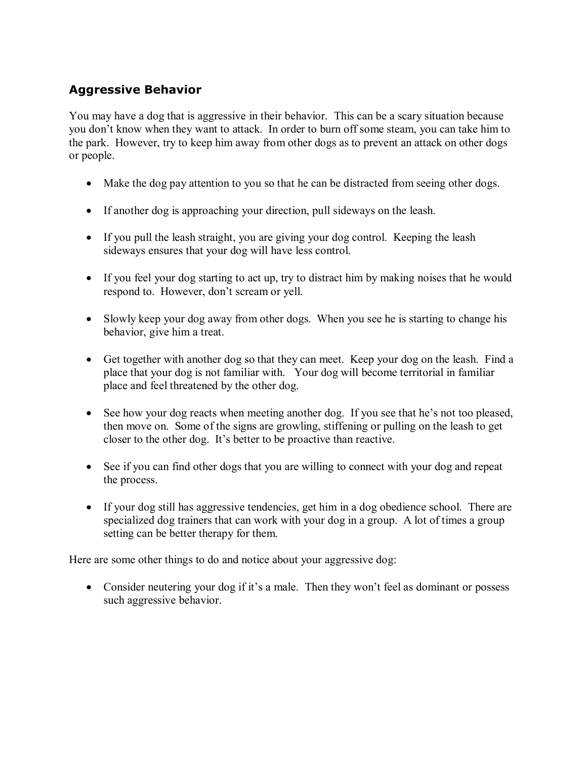### **Aggressive Behavior**

You may have a dog that is aggressive in their behavior. This can be a scary situation because you don't know when they want to attack. In order to burn off some steam, you can take him to the park. However, try to keep him away from other dogs as to prevent an attack on other dogs or people.

- Make the dog pay attention to you so that he can be distracted from seeing other dogs.
- If another dog is approaching your direction, pull sideways on the leash.
- If you pull the leash straight, you are giving your dog control. Keeping the leash sideways ensures that your dog will have less control.
- If you feel your dog starting to act up, try to distract him by making noises that he would respond to. However, don't scream or yell.
- Slowly keep your dog away from other dogs. When you see he is starting to change his behavior, give him a treat.
- Get together with another dog so that they can meet. Keep your dog on the leash. Find a place that your dog is not familiar with. Your dog will become territorial in familiar place and feel threatened by the other dog.
- See how your dog reacts when meeting another dog. If you see that he's not too pleased, then move on. Some of the signs are growling, stiffening or pulling on the leash to get closer to the other dog. It's better to be proactive than reactive.
- See if you can find other dogs that you are willing to connect with your dog and repeat the process.
- If your dog still has aggressive tendencies, get him in a dog obedience school. There are specialized dog trainers that can work with your dog in a group. A lot of times a group setting can be better therapy for them.

Here are some other things to do and notice about your aggressive dog:

• Consider neutering your dog if it's a male. Then they won't feel as dominant or possess such aggressive behavior.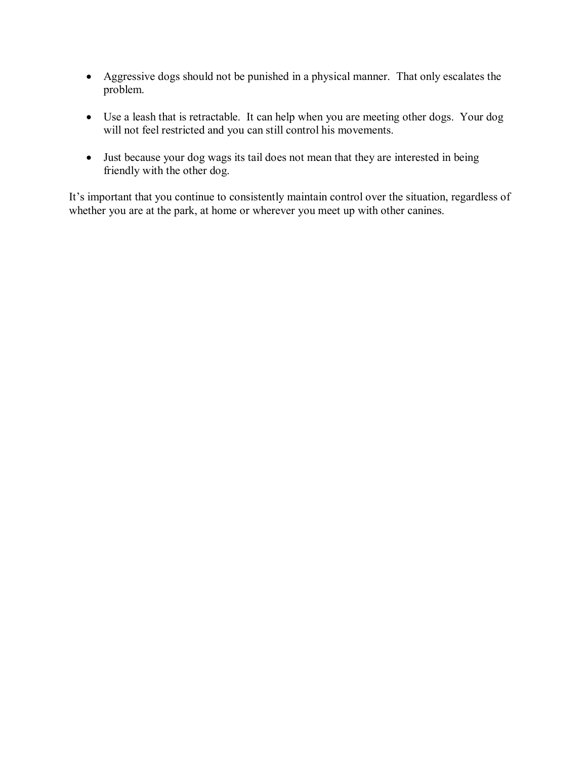- Aggressive dogs should not be punished in a physical manner. That only escalates the problem.
- Use a leash that is retractable. It can help when you are meeting other dogs. Your dog will not feel restricted and you can still control his movements.
- Just because your dog wags its tail does not mean that they are interested in being friendly with the other dog.

It's important that you continue to consistently maintain control over the situation, regardless of whether you are at the park, at home or wherever you meet up with other canines.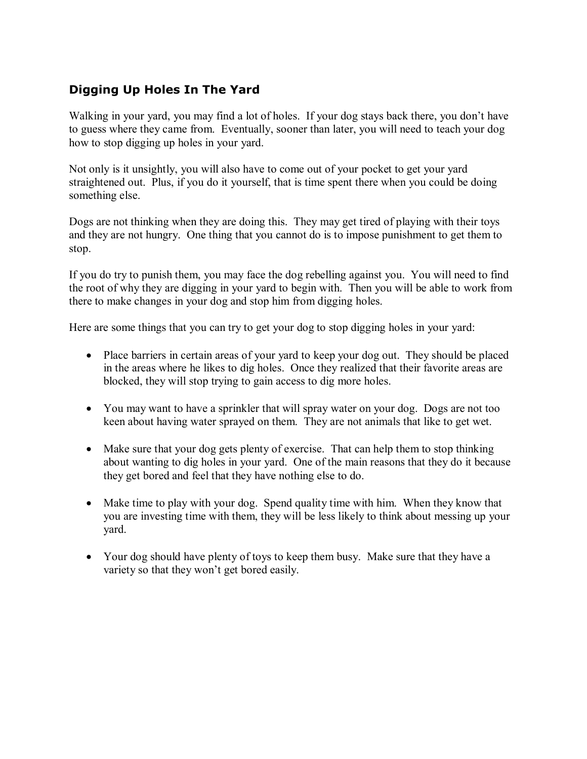### **Digging Up Holes In The Yard**

Walking in your yard, you may find a lot of holes. If your dog stays back there, you don't have to guess where they came from. Eventually, sooner than later, you will need to teach your dog how to stop digging up holes in your yard.

Not only is it unsightly, you will also have to come out of your pocket to get your yard straightened out. Plus, if you do it yourself, that is time spent there when you could be doing something else.

Dogs are not thinking when they are doing this. They may get tired of playing with their toys and they are not hungry. One thing that you cannot do is to impose punishment to get them to stop.

If you do try to punish them, you may face the dog rebelling against you. You will need to find the root of why they are digging in your yard to begin with. Then you will be able to work from there to make changes in your dog and stop him from digging holes.

Here are some things that you can try to get your dog to stop digging holes in your yard:

- Place barriers in certain areas of your yard to keep your dog out. They should be placed in the areas where he likes to dig holes. Once they realized that their favorite areas are blocked, they will stop trying to gain access to dig more holes.
- You may want to have a sprinkler that will spray water on your dog. Dogs are not too keen about having water sprayed on them. They are not animals that like to get wet.
- Make sure that your dog gets plenty of exercise. That can help them to stop thinking about wanting to dig holes in your yard. One of the main reasons that they do it because they get bored and feel that they have nothing else to do.
- Make time to play with your dog. Spend quality time with him. When they know that you are investing time with them, they will be less likely to think about messing up your yard.
- Your dog should have plenty of toys to keep them busy. Make sure that they have a variety so that they won't get bored easily.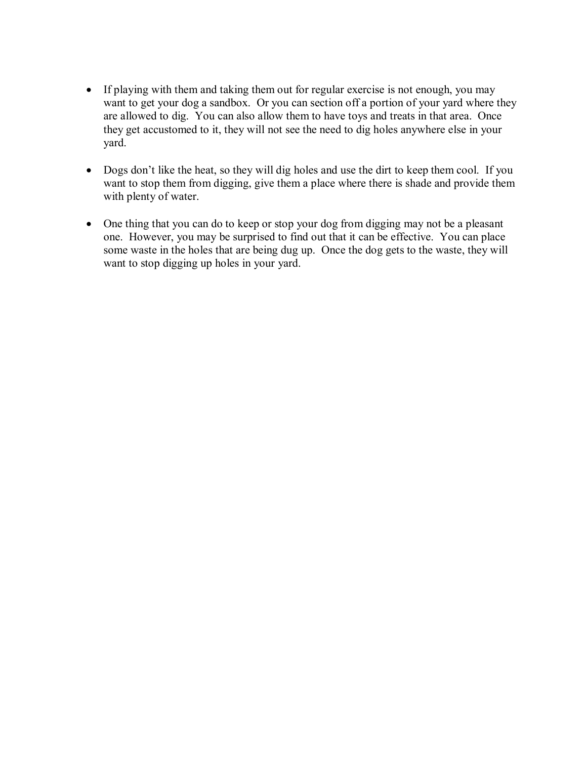- If playing with them and taking them out for regular exercise is not enough, you may want to get your dog a sandbox. Or you can section off a portion of your yard where they are allowed to dig. You can also allow them to have toys and treats in that area. Once they get accustomed to it, they will not see the need to dig holes anywhere else in your yard.
- Dogs don't like the heat, so they will dig holes and use the dirt to keep them cool. If you want to stop them from digging, give them a place where there is shade and provide them with plenty of water.
- One thing that you can do to keep or stop your dog from digging may not be a pleasant one. However, you may be surprised to find out that it can be effective. You can place some waste in the holes that are being dug up. Once the dog gets to the waste, they will want to stop digging up holes in your yard.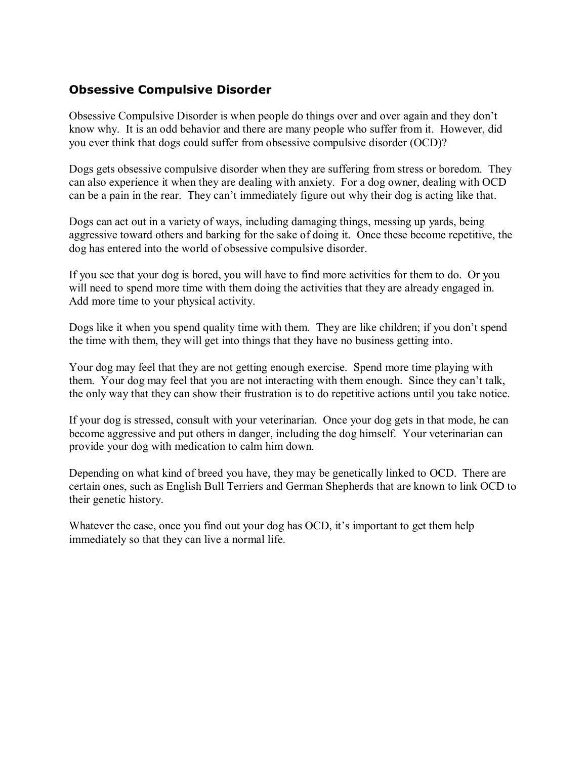#### **Obsessive Compulsive Disorder**

Obsessive Compulsive Disorder is when people do things over and over again and they don't know why. It is an odd behavior and there are many people who suffer from it. However, did you ever think that dogs could suffer from obsessive compulsive disorder (OCD)?

Dogs gets obsessive compulsive disorder when they are suffering from stress or boredom. They can also experience it when they are dealing with anxiety. For a dog owner, dealing with OCD can be a pain in the rear. They can't immediately figure out why their dog is acting like that.

Dogs can act out in a variety of ways, including damaging things, messing up yards, being aggressive toward others and barking for the sake of doing it. Once these become repetitive, the dog has entered into the world of obsessive compulsive disorder.

If you see that your dog is bored, you will have to find more activities for them to do. Or you will need to spend more time with them doing the activities that they are already engaged in. Add more time to your physical activity.

Dogs like it when you spend quality time with them. They are like children; if you don't spend the time with them, they will get into things that they have no business getting into.

Your dog may feel that they are not getting enough exercise. Spend more time playing with them. Your dog may feel that you are not interacting with them enough. Since they can't talk, the only way that they can show their frustration is to do repetitive actions until you take notice.

If your dog is stressed, consult with your veterinarian. Once your dog gets in that mode, he can become aggressive and put others in danger, including the dog himself. Your veterinarian can provide your dog with medication to calm him down.

Depending on what kind of breed you have, they may be genetically linked to OCD. There are certain ones, such as English Bull Terriers and German Shepherds that are known to link OCD to their genetic history.

Whatever the case, once you find out your dog has OCD, it's important to get them help immediately so that they can live a normal life.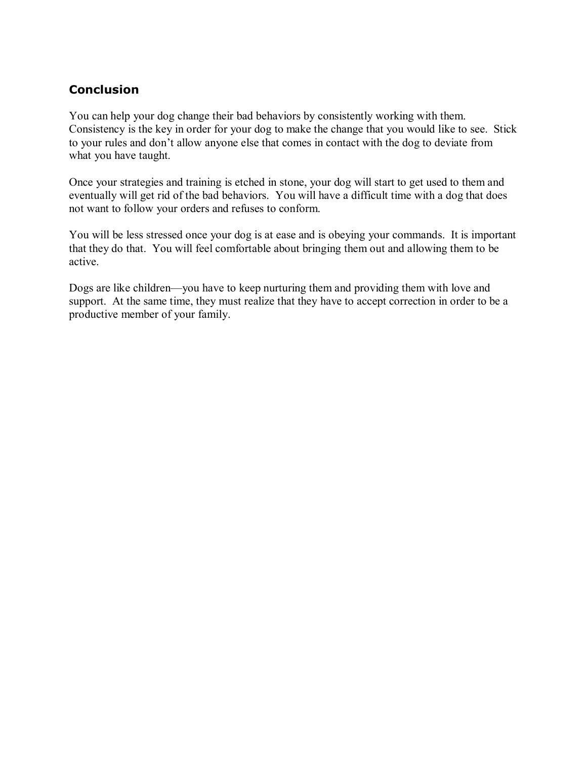#### **Conclusion**

You can help your dog change their bad behaviors by consistently working with them. Consistency is the key in order for your dog to make the change that you would like to see. Stick to your rules and don't allow anyone else that comes in contact with the dog to deviate from what you have taught.

Once your strategies and training is etched in stone, your dog will start to get used to them and eventually will get rid of the bad behaviors. You will have a difficult time with a dog that does not want to follow your orders and refuses to conform.

You will be less stressed once your dog is at ease and is obeying your commands. It is important that they do that. You will feel comfortable about bringing them out and allowing them to be active.

Dogs are like children—you have to keep nurturing them and providing them with love and support. At the same time, they must realize that they have to accept correction in order to be a productive member of your family.